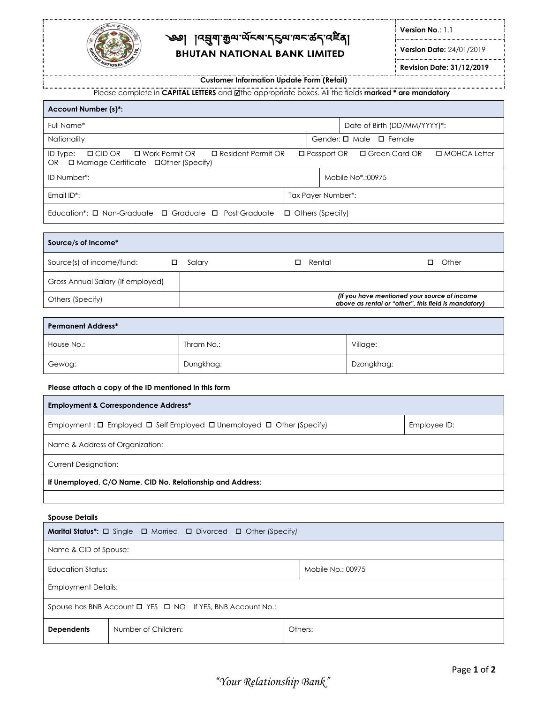

## ্জ্ঞ৷াব্রুনাক্সি<sub>অন্</sub>প্রহ্ম প্রবিদ্যালন্দ্র প্রায় **BHUTAN NATIONAL BANK LIMITED**

**Version No**.: 1.1

**Version Date:** 24/01/2019

**Revision Date: 31/12/2019**

**Customer Information Update Form (Retail)**

Please complete in **CAPITAL LETTERS** and the appropriate boxes. All the fields **marked \* are mandatory**

| <b>Account Number (s)*:</b>                                                                                                               |  |                       |                                   |                |  |
|-------------------------------------------------------------------------------------------------------------------------------------------|--|-----------------------|-----------------------------------|----------------|--|
| Full Name*                                                                                                                                |  |                       | Date of Birth (DD/MM/YYYY)*:      |                |  |
| Nationality                                                                                                                               |  |                       | Gender: $\Box$ Male $\Box$ Female |                |  |
| ID Type:<br>$\square$ Resident Permit OR<br>ロ Work Permit OR<br>$\square$ CID OR<br>□ Marriage Certificate □ Other (Specify)<br><b>OR</b> |  | $\square$ Passport OR | □ Green Card OR                   | □ MOHCA Letter |  |
| ID Number*:                                                                                                                               |  |                       | Mobile No*::00975                 |                |  |
| Email $ID^*$ :                                                                                                                            |  | Tax Payer Number*:    |                                   |                |  |
| Education <sup>*</sup> : $\Box$ Non-Graduate $\Box$ Graduate $\Box$ Post Graduate<br>$\Box$ Others (Specify)                              |  |                       |                                   |                |  |

| Source/s of Income*               |             |        |                                                                                                      |
|-----------------------------------|-------------|--------|------------------------------------------------------------------------------------------------------|
| Source(s) of income/fund:         | Salary<br>◻ | Rental | Other                                                                                                |
| Gross Annual Salary (If employed) |             |        |                                                                                                      |
| Others (Specify)                  |             |        | (If you have mentioned your source of income<br>above as rental or "other", this field is mandatory) |

| <b>Permanent Address*</b> |            |            |  |
|---------------------------|------------|------------|--|
| House No.:                | Thram No.: | Village:   |  |
| Gewog:                    | Dungkhag:  | Dzongkhag: |  |

**Please attach a copy of the ID mentioned in this form**

| <b>Employment &amp; Correspondence Address*</b>                                           |              |  |  |
|-------------------------------------------------------------------------------------------|--------------|--|--|
| Employment: $\Box$ Employed $\Box$ Self Employed $\Box$ Unemployed $\Box$ Other (Specify) | Employee ID: |  |  |
| Name & Address of Organization:                                                           |              |  |  |
| <b>Current Designation:</b>                                                               |              |  |  |
| If Unemployed, C/O Name, CID No. Relationship and Address:                                |              |  |  |
|                                                                                           |              |  |  |

|  | <b>Spouse Details</b> |  |
|--|-----------------------|--|
|--|-----------------------|--|

| <b>Marital Status*:</b> □ Single □ Married □ Divorced □ Other (Specify) |                     |  |         |
|-------------------------------------------------------------------------|---------------------|--|---------|
| Name & CID of Spouse:                                                   |                     |  |         |
| Education Status:<br>Mobile No.: 00975                                  |                     |  |         |
| <b>Employment Details:</b>                                              |                     |  |         |
| Spouse has BNB Account $\Box$ YES $\Box$ NO If YES, BNB Account No.:    |                     |  |         |
| <b>Dependents</b>                                                       | Number of Children: |  | Others: |